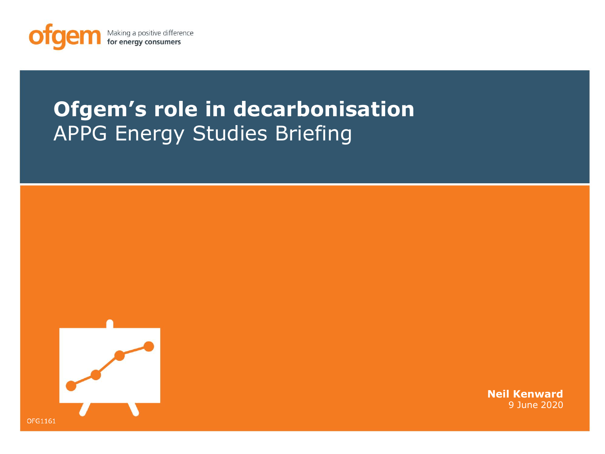

# **Ofgem's role in decarbonisation**  APPG Energy Studies Briefing



**Neil Kenward** 9 June 2020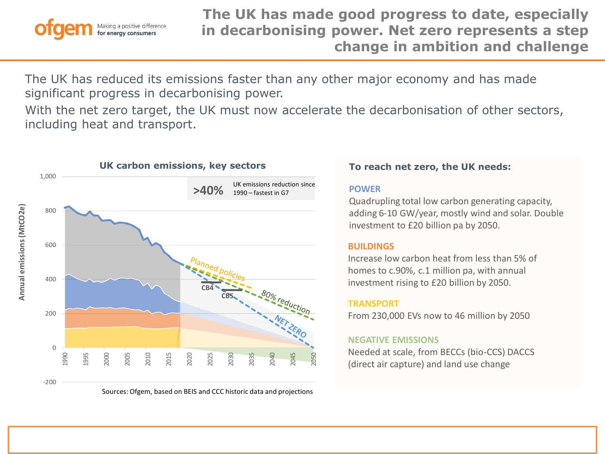

The UK has reduced its emissions faster than any other major economy and has made significant progress in decarbonising power.

With the net zero target, the UK must now accelerate the decarbonisation of other sectors, including heat and transport.



#### **POWER**

GHG emissions removal - Quadrupling total low carbon generating capacity, adding 6-10 GW/year, mostly wind and solar. Double investment to £20 billion pa by 2050.

#### Buildings **BUILDINGS**

homes to c.90%, c.1 million pa, with annual investment rising to £20 billion by 2050. Increase low carbon heat from less than 5% of

#### $TRANSPORT$

 $\overline{\mathfrak{g}}$ From 230,000 EVs now to 46 million by 2050

#### **NEGATIVE EMISSIONS**

Needed at scale, from BECCs (bio-CCS) DACCS (direct air capture) and land use change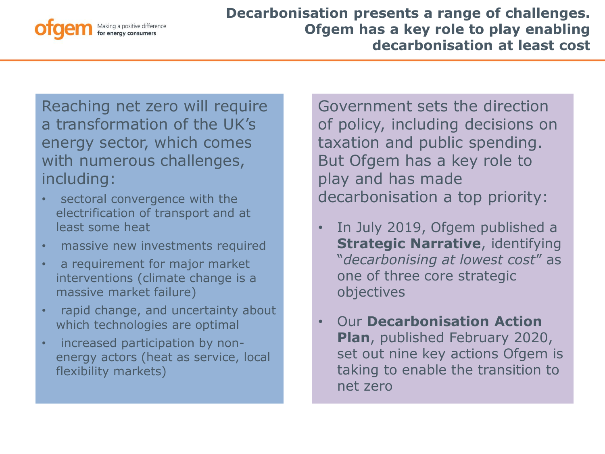

Reaching net zero will require a transformation of the UK's energy sector, which comes with numerous challenges, including:

- sectoral convergence with the electrification of transport and at least some heat
- massive new investments required
- a requirement for major market interventions (climate change is a massive market failure)
- rapid change, and uncertainty about which technologies are optimal
- increased participation by nonenergy actors (heat as service, local flexibility markets)

Government sets the direction of policy, including decisions on taxation and public spending. But Ofgem has a key role to play and has made decarbonisation a top priority:

- In July 2019, Ofgem published a **Strategic Narrative**, identifying "*decarbonising at lowest cost*" as one of three core strategic objectives
- Our **Decarbonisation Action Plan**, published February 2020, set out nine key actions Ofgem is taking to enable the transition to net zero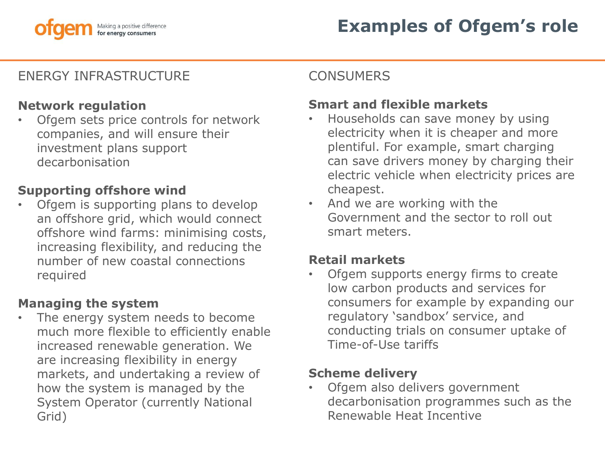

# ENERGY INFRASTRUCTURE

#### **Network regulation**

• Ofgem sets price controls for network companies, and will ensure their investment plans support decarbonisation

#### **Supporting offshore wind**

• Ofgem is supporting plans to develop an offshore grid, which would connect offshore wind farms: minimising costs, increasing flexibility, and reducing the number of new coastal connections required

# **Managing the system**

The energy system needs to become much more flexible to efficiently enable increased renewable generation. We are increasing flexibility in energy markets, and undertaking a review of how the system is managed by the System Operator (currently National Grid)

## **CONSUMERS**

# **Smart and flexible markets**

- Households can save money by using electricity when it is cheaper and more plentiful. For example, smart charging can save drivers money by charging their electric vehicle when electricity prices are cheapest.
- And we are working with the Government and the sector to roll out smart meters.

#### **Retail markets**

• Ofgem supports energy firms to create low carbon products and services for consumers for example by expanding our regulatory 'sandbox' service, and conducting trials on consumer uptake of Time-of-Use tariffs

#### **Scheme delivery**

Ofgem also delivers government decarbonisation programmes such as the Renewable Heat Incentive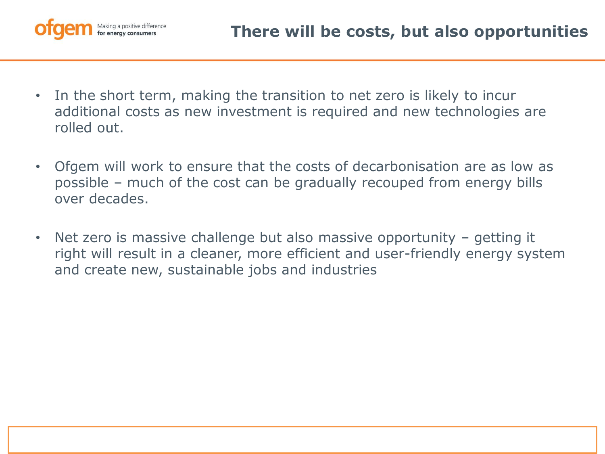

- In the short term, making the transition to net zero is likely to incur additional costs as new investment is required and new technologies are rolled out.
- Ofgem will work to ensure that the costs of decarbonisation are as low as possible – much of the cost can be gradually recouped from energy bills over decades.
- Net zero is massive challenge but also massive opportunity getting it right will result in a cleaner, more efficient and user-friendly energy system and create new, sustainable jobs and industries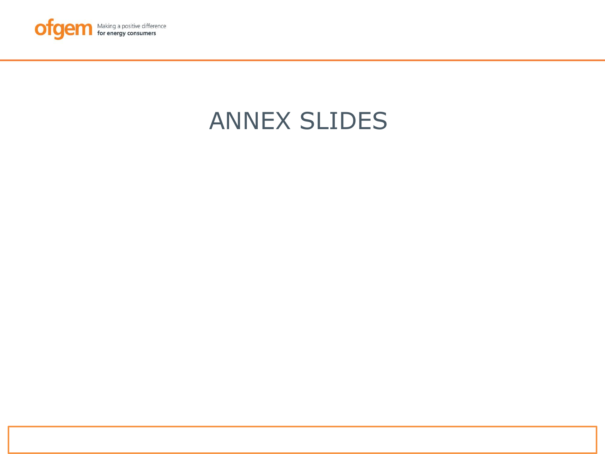

# ANNEX SLIDES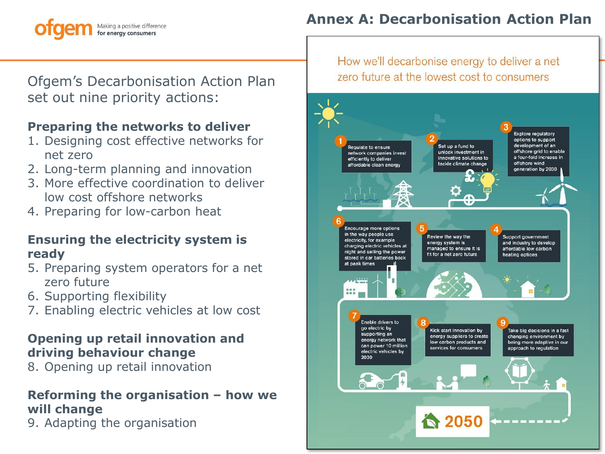#### Making a positive difference for energy consumers

# **Annex A: Decarbonisation Action Plan**

Ofgem's Decarbonisation Action Plan set out nine priority actions:

# **Preparing the networks to deliver**

- 1. Designing cost effective networks for net zero
- 2. Long-term planning and innovation
- 3. More effective coordination to deliver low cost offshore networks
- 4. Preparing for low-carbon heat

#### **Ensuring the electricity system is ready**

- 5. Preparing system operators for a net zero future
- 6. Supporting flexibility
- 7. Enabling electric vehicles at low cost

#### **Opening up retail innovation and driving behaviour change**

8. Opening up retail innovation

#### **Reforming the organisation – how we will change**

9. Adapting the organisation

How we'll decarbonise energy to deliver a net zero future at the lowest cost to consumers